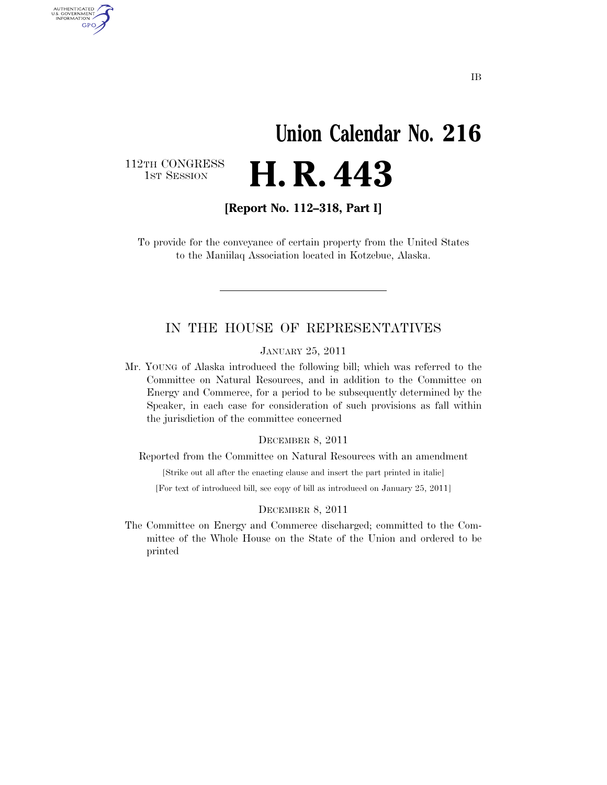# **Union Calendar No. 216 H. R. 443**

112TH CONGRESS<br>1st Session

AUTHENTICATED<br>U.S. GOVERNMENT<br>INFORMATION **GPO** 

**[Report No. 112–318, Part I]** 

To provide for the conveyance of certain property from the United States to the Maniilaq Association located in Kotzebue, Alaska.

### IN THE HOUSE OF REPRESENTATIVES

JANUARY 25, 2011

Mr. YOUNG of Alaska introduced the following bill; which was referred to the Committee on Natural Resources, and in addition to the Committee on Energy and Commerce, for a period to be subsequently determined by the Speaker, in each case for consideration of such provisions as fall within the jurisdiction of the committee concerned

### DECEMBER 8, 2011

Reported from the Committee on Natural Resources with an amendment

[Strike out all after the enacting clause and insert the part printed in italic]

[For text of introduced bill, see copy of bill as introduced on January 25, 2011]

#### DECEMBER 8, 2011

The Committee on Energy and Commerce discharged; committed to the Committee of the Whole House on the State of the Union and ordered to be printed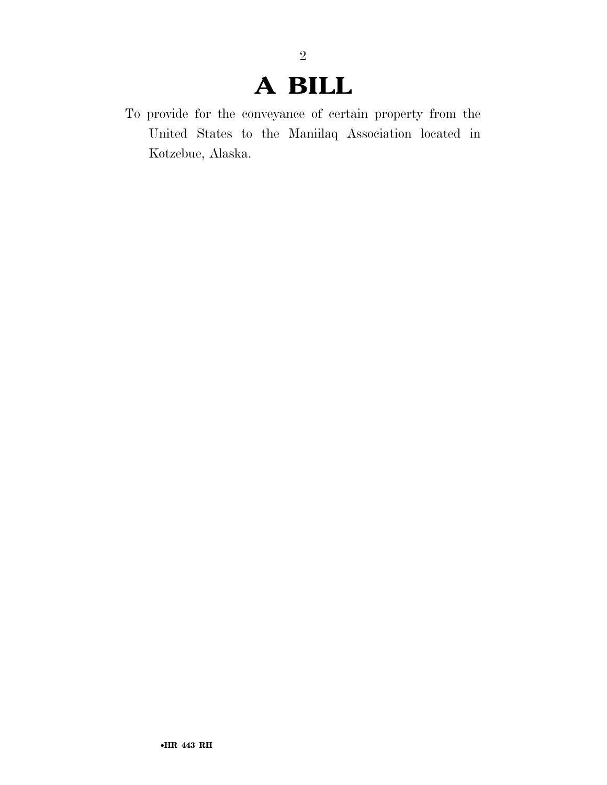## **A BILL**

2

To provide for the conveyance of certain property from the United States to the Maniilaq Association located in Kotzebue, Alaska.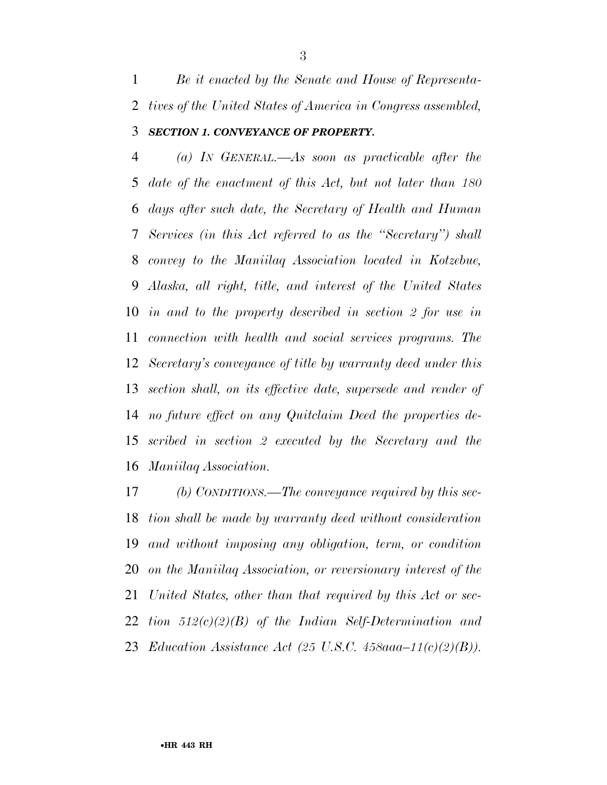*Be it enacted by the Senate and House of Representa- tives of the United States of America in Congress assembled, SECTION 1. CONVEYANCE OF PROPERTY.* 

 *(a) IN GENERAL.—As soon as practicable after the date of the enactment of this Act, but not later than 180 days after such date, the Secretary of Health and Human Services (in this Act referred to as the ''Secretary'') shall convey to the Maniilaq Association located in Kotzebue, Alaska, all right, title, and interest of the United States in and to the property described in section 2 for use in connection with health and social services programs. The Secretary's conveyance of title by warranty deed under this section shall, on its effective date, supersede and render of no future effect on any Quitclaim Deed the properties de- scribed in section 2 executed by the Secretary and the Maniilaq Association.* 

 *(b) CONDITIONS.—The conveyance required by this sec- tion shall be made by warranty deed without consideration and without imposing any obligation, term, or condition on the Maniilaq Association, or reversionary interest of the United States, other than that required by this Act or sec- tion 512(c)(2)(B) of the Indian Self-Determination and Education Assistance Act (25 U.S.C. 458aaa–11(c)(2)(B)).*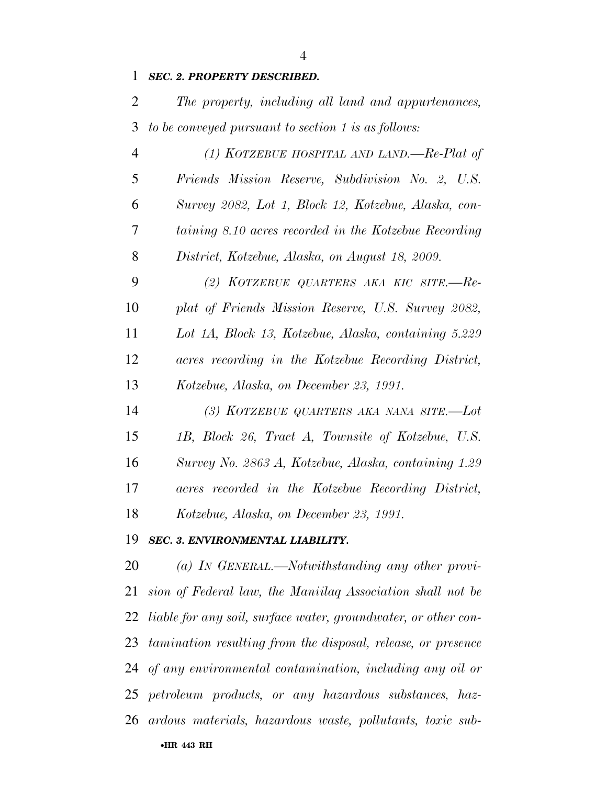### *SEC. 2. PROPERTY DESCRIBED.*

 *The property, including all land and appurtenances, to be conveyed pursuant to section 1 is as follows:* 

| $\overline{4}$ | (1) KOTZEBUE HOSPITAL AND LAND,—Re-Plat of            |
|----------------|-------------------------------------------------------|
| 5              | Friends Mission Reserve, Subdivision No. 2, U.S.      |
| 6              | Survey 2082, Lot 1, Block 12, Kotzebue, Alaska, con-  |
| 7              | taining 8.10 acres recorded in the Kotzebue Recording |
| 8              | District, Kotzebue, Alaska, on August 18, 2009.       |
| 9              | (2) KOTZEBUE QUARTERS AKA KIC SITE.-Re-               |
| 10             | plat of Friends Mission Reserve, U.S. Survey 2082,    |
| 11             | Lot 1A, Block 13, Kotzebue, Alaska, containing 5.229  |
| 12             | acres recording in the Kotzebue Recording District,   |
| 13             | Kotzebue, Alaska, on December 23, 1991.               |
| 14             | (3) KOTZEBUE QUARTERS AKA NANA SITE.-Lot              |

 *1B, Block 26, Tract A, Townsite of Kotzebue, U.S. Survey No. 2863 A, Kotzebue, Alaska, containing 1.29 acres recorded in the Kotzebue Recording District, Kotzebue, Alaska, on December 23, 1991.* 

### *SEC. 3. ENVIRONMENTAL LIABILITY.*

•**HR 443 RH** *(a) IN GENERAL.—Notwithstanding any other provi- sion of Federal law, the Maniilaq Association shall not be liable for any soil, surface water, groundwater, or other con- tamination resulting from the disposal, release, or presence of any environmental contamination, including any oil or petroleum products, or any hazardous substances, haz-ardous materials, hazardous waste, pollutants, toxic sub-*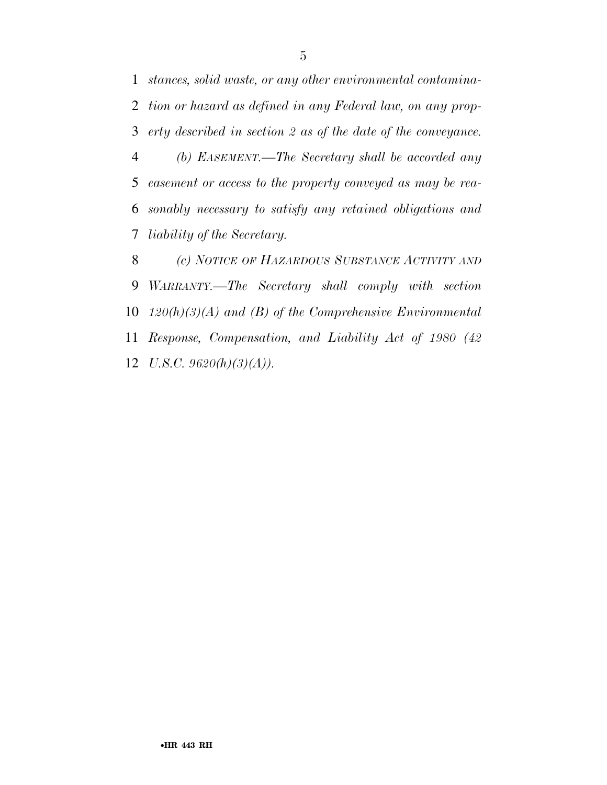*stances, solid waste, or any other environmental contamina- tion or hazard as defined in any Federal law, on any prop- erty described in section 2 as of the date of the conveyance. (b) EASEMENT.—The Secretary shall be accorded any easement or access to the property conveyed as may be rea-*

 *sonably necessary to satisfy any retained obligations and liability of the Secretary.* 

 *(c) NOTICE OF HAZARDOUS SUBSTANCE ACTIVITY AND WARRANTY.—The Secretary shall comply with section 120(h)(3)(A) and (B) of the Comprehensive Environmental Response, Compensation, and Liability Act of 1980 (42 U.S.C. 9620(h)(3)(A)).*